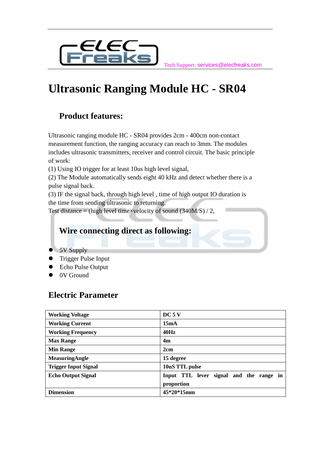

Tech Support: services@elecfreaks.com

# **Ultrasonic Ranging Module HC - SR04**

### **Product features:**

Ultrasonic ranging module HC - SR04 provides 2cm - 400cm non-contact measurement function, the ranging accuracy can reach to 3mm. The modules includes ultrasonic transmitters, receiver and control circuit. The basic principle of work:

(1) Using IO trigger for at least 10us high level signal,

(2) The Module automatically sends eight 40 kHz and detect whether there is a pulse signal back.

(3) IF the signal back, through high level , time of high output IO duration is the time from sending ultrasonic to returning.

Test distance = (high level time×velocity of sound  $(340M/S) / 2$ ,

### **Wire connecting direct as following:**

- 5V Supply
- Trigger Pulse Input
- Echo Pulse Output
- 0V Ground

### **Electric Parameter**

| <b>Working Voltage</b>      | DC5V                                    |
|-----------------------------|-----------------------------------------|
| <b>Working Current</b>      | 15mA                                    |
| <b>Working Frequency</b>    | 40Hz                                    |
| <b>Max Range</b>            | 4 <sub>m</sub>                          |
| <b>Min Range</b>            | 2cm                                     |
| <b>MeasuringAngle</b>       | 15 degree                               |
| <b>Trigger Input Signal</b> | 10uS TTL pulse                          |
| <b>Echo Output Signal</b>   | Input TTL lever signal and the range in |
|                             | proportion                              |
| <b>Dimension</b>            | 45*20*15mm                              |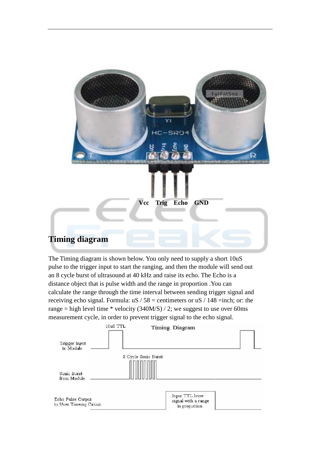

The Timing diagram is shown below. You only need to supply a short 10uS pulse to the trigger input to start the ranging, and then the module will send out an 8 cycle burst of ultrasound at 40 kHz and raise its echo. The Echo is a distance object that is pulse width and the range in proportion .You can calculate the range through the time interval between sending trigger signal and receiving echo signal. Formula:  $uS / 58$  = centimeters or  $uS / 148$  =inch; or: the range = high level time \* velocity  $(340M/S) / 2$ ; we suggest to use over 60ms measurement cycle, in order to prevent trigger signal to the echo signal.

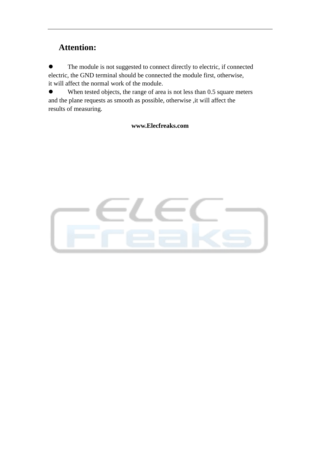### **Attention:**

 The module is not suggested to connect directly to electric, if connected electric, the GND terminal should be connected the module first, otherwise, it will affect the normal work of the module.

• When tested objects, the range of area is not less than 0.5 square meters and the plane requests as smooth as possible, otherwise ,it will affect the results of measuring.

#### **www.Elecfreaks.com**